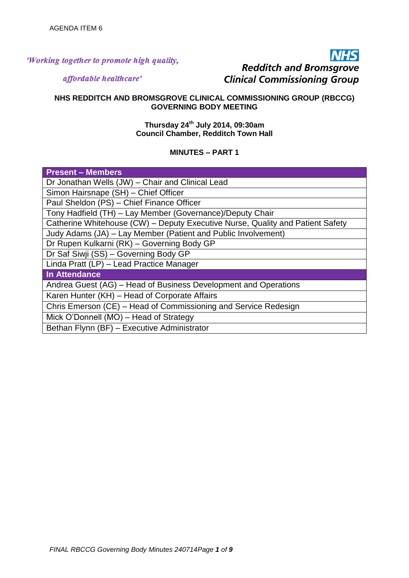## 'Working together to promote high quality,

# **INHS Redditch and Bromsgrove Clinical Commissioning Group**

affordable healthcare'

### **NHS REDDITCH AND BROMSGROVE CLINICAL COMMISSIONING GROUP (RBCCG) GOVERNING BODY MEETING**

#### **Thursday 24th July 2014, 09:30am Council Chamber, Redditch Town Hall**

## **MINUTES – PART 1**

| <b>Present – Members</b>                                                       |
|--------------------------------------------------------------------------------|
| Dr Jonathan Wells (JW) - Chair and Clinical Lead                               |
| Simon Hairsnape (SH) - Chief Officer                                           |
| Paul Sheldon (PS) - Chief Finance Officer                                      |
| Tony Hadfield (TH) - Lay Member (Governance)/Deputy Chair                      |
| Catherine Whitehouse (CW) – Deputy Executive Nurse, Quality and Patient Safety |
| Judy Adams (JA) – Lay Member (Patient and Public Involvement)                  |
| Dr Rupen Kulkarni (RK) - Governing Body GP                                     |
| Dr Saf Siwji (SS) - Governing Body GP                                          |
| Linda Pratt (LP) - Lead Practice Manager                                       |
| In Attendance                                                                  |
| Andrea Guest (AG) – Head of Business Development and Operations                |
| Karen Hunter (KH) - Head of Corporate Affairs                                  |
| Chris Emerson (CE) - Head of Commissioning and Service Redesign                |
| Mick O'Donnell (MO) – Head of Strategy                                         |
| Bethan Flynn (BF) - Executive Administrator                                    |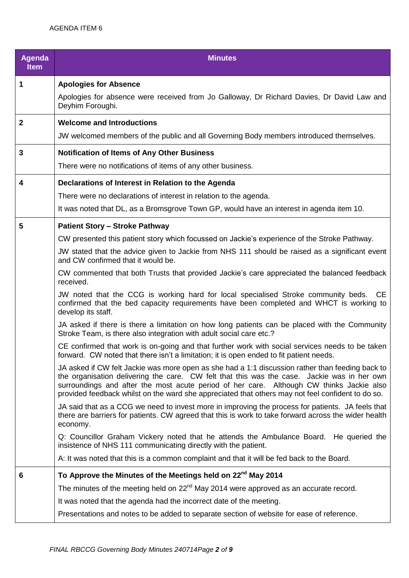| <b>Agenda</b><br><b>Item</b> | <b>Minutes</b>                                                                                                                                                                                                                                                                                                                                                                                   |
|------------------------------|--------------------------------------------------------------------------------------------------------------------------------------------------------------------------------------------------------------------------------------------------------------------------------------------------------------------------------------------------------------------------------------------------|
| 1                            | <b>Apologies for Absence</b>                                                                                                                                                                                                                                                                                                                                                                     |
|                              | Apologies for absence were received from Jo Galloway, Dr Richard Davies, Dr David Law and<br>Deyhim Foroughi.                                                                                                                                                                                                                                                                                    |
| $\mathbf{2}$                 | <b>Welcome and Introductions</b>                                                                                                                                                                                                                                                                                                                                                                 |
|                              | JW welcomed members of the public and all Governing Body members introduced themselves.                                                                                                                                                                                                                                                                                                          |
| 3                            | <b>Notification of Items of Any Other Business</b>                                                                                                                                                                                                                                                                                                                                               |
|                              | There were no notifications of items of any other business.                                                                                                                                                                                                                                                                                                                                      |
| 4                            | Declarations of Interest in Relation to the Agenda                                                                                                                                                                                                                                                                                                                                               |
|                              | There were no declarations of interest in relation to the agenda.                                                                                                                                                                                                                                                                                                                                |
|                              | It was noted that DL, as a Bromsgrove Town GP, would have an interest in agenda item 10.                                                                                                                                                                                                                                                                                                         |
| 5                            | <b>Patient Story - Stroke Pathway</b>                                                                                                                                                                                                                                                                                                                                                            |
|                              | CW presented this patient story which focussed on Jackie's experience of the Stroke Pathway.                                                                                                                                                                                                                                                                                                     |
|                              | JW stated that the advice given to Jackie from NHS 111 should be raised as a significant event<br>and CW confirmed that it would be.                                                                                                                                                                                                                                                             |
|                              | CW commented that both Trusts that provided Jackie's care appreciated the balanced feedback<br>received.                                                                                                                                                                                                                                                                                         |
|                              | JW noted that the CCG is working hard for local specialised Stroke community beds. CE<br>confirmed that the bed capacity requirements have been completed and WHCT is working to<br>develop its staff.                                                                                                                                                                                           |
|                              | JA asked if there is there a limitation on how long patients can be placed with the Community<br>Stroke Team, is there also integration with adult social care etc.?                                                                                                                                                                                                                             |
|                              | CE confirmed that work is on-going and that further work with social services needs to be taken<br>forward. CW noted that there isn't a limitation; it is open ended to fit patient needs.                                                                                                                                                                                                       |
|                              | JA asked if CW felt Jackie was more open as she had a 1:1 discussion rather than feeding back to<br>the organisation delivering the care. CW felt that this was the case. Jackie was in her own<br>surroundings and after the most acute period of her care. Although CW thinks Jackie also<br>provided feedback whilst on the ward she appreciated that others may not feel confident to do so. |
|                              | JA said that as a CCG we need to invest more in improving the process for patients. JA feels that<br>there are barriers for patients. CW agreed that this is work to take forward across the wider health<br>economy.                                                                                                                                                                            |
|                              | Q: Councillor Graham Vickery noted that he attends the Ambulance Board. He queried the<br>insistence of NHS 111 communicating directly with the patient.                                                                                                                                                                                                                                         |
|                              | A: It was noted that this is a common complaint and that it will be fed back to the Board.                                                                                                                                                                                                                                                                                                       |
| 6                            | To Approve the Minutes of the Meetings held on 22 <sup>nd</sup> May 2014                                                                                                                                                                                                                                                                                                                         |
|                              | The minutes of the meeting held on 22 <sup>nd</sup> May 2014 were approved as an accurate record.                                                                                                                                                                                                                                                                                                |
|                              | It was noted that the agenda had the incorrect date of the meeting.                                                                                                                                                                                                                                                                                                                              |
|                              | Presentations and notes to be added to separate section of website for ease of reference.                                                                                                                                                                                                                                                                                                        |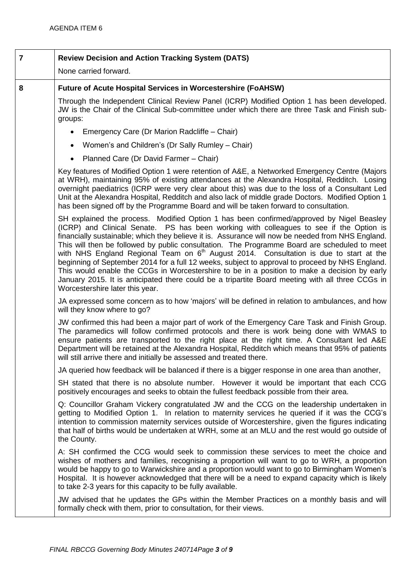| $\overline{7}$ | <b>Review Decision and Action Tracking System (DATS)</b>                                                                                                                                                                                                                                                                                                                                                                                                                                                                                                                                                                                                                                                                                                                                                                                 |
|----------------|------------------------------------------------------------------------------------------------------------------------------------------------------------------------------------------------------------------------------------------------------------------------------------------------------------------------------------------------------------------------------------------------------------------------------------------------------------------------------------------------------------------------------------------------------------------------------------------------------------------------------------------------------------------------------------------------------------------------------------------------------------------------------------------------------------------------------------------|
|                | None carried forward.                                                                                                                                                                                                                                                                                                                                                                                                                                                                                                                                                                                                                                                                                                                                                                                                                    |
| 8              | <b>Future of Acute Hospital Services in Worcestershire (FoAHSW)</b>                                                                                                                                                                                                                                                                                                                                                                                                                                                                                                                                                                                                                                                                                                                                                                      |
|                | Through the Independent Clinical Review Panel (ICRP) Modified Option 1 has been developed.<br>JW is the Chair of the Clinical Sub-committee under which there are three Task and Finish sub-<br>groups:                                                                                                                                                                                                                                                                                                                                                                                                                                                                                                                                                                                                                                  |
|                | Emergency Care (Dr Marion Radcliffe - Chair)<br>$\bullet$                                                                                                                                                                                                                                                                                                                                                                                                                                                                                                                                                                                                                                                                                                                                                                                |
|                | Women's and Children's (Dr Sally Rumley - Chair)<br>$\bullet$                                                                                                                                                                                                                                                                                                                                                                                                                                                                                                                                                                                                                                                                                                                                                                            |
|                | Planned Care (Dr David Farmer - Chair)<br>$\bullet$                                                                                                                                                                                                                                                                                                                                                                                                                                                                                                                                                                                                                                                                                                                                                                                      |
|                | Key features of Modified Option 1 were retention of A&E, a Networked Emergency Centre (Majors<br>at WRH), maintaining 95% of existing attendances at the Alexandra Hospital, Redditch. Losing<br>overnight paediatrics (ICRP were very clear about this) was due to the loss of a Consultant Led<br>Unit at the Alexandra Hospital, Redditch and also lack of middle grade Doctors. Modified Option 1<br>has been signed off by the Programme Board and will be taken forward to consultation.                                                                                                                                                                                                                                                                                                                                           |
|                | SH explained the process. Modified Option 1 has been confirmed/approved by Nigel Beasley<br>(ICRP) and Clinical Senate. PS has been working with colleagues to see if the Option is<br>financially sustainable; which they believe it is. Assurance will now be needed from NHS England.<br>This will then be followed by public consultation. The Programme Board are scheduled to meet<br>with NHS England Regional Team on 6 <sup>th</sup> August 2014. Consultation is due to start at the<br>beginning of September 2014 for a full 12 weeks, subject to approval to proceed by NHS England.<br>This would enable the CCGs in Worcestershire to be in a position to make a decision by early<br>January 2015. It is anticipated there could be a tripartite Board meeting with all three CCGs in<br>Worcestershire later this year. |
|                | JA expressed some concern as to how 'majors' will be defined in relation to ambulances, and how<br>will they know where to go?                                                                                                                                                                                                                                                                                                                                                                                                                                                                                                                                                                                                                                                                                                           |
|                | JW confirmed this had been a major part of work of the Emergency Care Task and Finish Group.<br>The paramedics will follow confirmed protocols and there is work being done with WMAS to<br>ensure patients are transported to the right place at the right time. A Consultant led A&E<br>Department will be retained at the Alexandra Hospital, Redditch which means that 95% of patients<br>will still arrive there and initially be assessed and treated there.                                                                                                                                                                                                                                                                                                                                                                       |
|                | JA queried how feedback will be balanced if there is a bigger response in one area than another,                                                                                                                                                                                                                                                                                                                                                                                                                                                                                                                                                                                                                                                                                                                                         |
|                | SH stated that there is no absolute number. However it would be important that each CCG<br>positively encourages and seeks to obtain the fullest feedback possible from their area.                                                                                                                                                                                                                                                                                                                                                                                                                                                                                                                                                                                                                                                      |
|                | Q: Councillor Graham Vickery congratulated JW and the CCG on the leadership undertaken in<br>getting to Modified Option 1. In relation to maternity services he queried if it was the CCG's<br>intention to commission maternity services outside of Worcestershire, given the figures indicating<br>that half of births would be undertaken at WRH, some at an MLU and the rest would go outside of<br>the County.                                                                                                                                                                                                                                                                                                                                                                                                                      |
|                | A: SH confirmed the CCG would seek to commission these services to meet the choice and<br>wishes of mothers and families, recognising a proportion will want to go to WRH, a proportion<br>would be happy to go to Warwickshire and a proportion would want to go to Birmingham Women's<br>Hospital. It is however acknowledged that there will be a need to expand capacity which is likely<br>to take 2-3 years for this capacity to be fully available.                                                                                                                                                                                                                                                                                                                                                                               |
|                | JW advised that he updates the GPs within the Member Practices on a monthly basis and will<br>formally check with them, prior to consultation, for their views.                                                                                                                                                                                                                                                                                                                                                                                                                                                                                                                                                                                                                                                                          |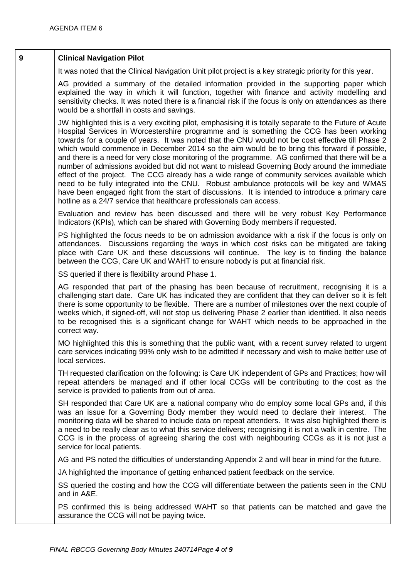## **9 Clinical Navigation Pilot**

It was noted that the Clinical Navigation Unit pilot project is a key strategic priority for this year.

AG provided a summary of the detailed information provided in the supporting paper which explained the way in which it will function, together with finance and activity modelling and sensitivity checks. It was noted there is a financial risk if the focus is only on attendances as there would be a shortfall in costs and savings.

JW highlighted this is a very exciting pilot, emphasising it is totally separate to the Future of Acute Hospital Services in Worcestershire programme and is something the CCG has been working towards for a couple of years. It was noted that the CNU would not be cost effective till Phase 2 which would commence in December 2014 so the aim would be to bring this forward if possible, and there is a need for very close monitoring of the programme. AG confirmed that there will be a number of admissions avoided but did not want to mislead Governing Body around the immediate effect of the project. The CCG already has a wide range of community services available which need to be fully integrated into the CNU. Robust ambulance protocols will be key and WMAS have been engaged right from the start of discussions. It is intended to introduce a primary care hotline as a 24/7 service that healthcare professionals can access.

Evaluation and review has been discussed and there will be very robust Key Performance Indicators (KPIs), which can be shared with Governing Body members if requested.

PS highlighted the focus needs to be on admission avoidance with a risk if the focus is only on attendances. Discussions regarding the ways in which cost risks can be mitigated are taking place with Care UK and these discussions will continue. The key is to finding the balance between the CCG, Care UK and WAHT to ensure nobody is put at financial risk.

SS queried if there is flexibility around Phase 1.

AG responded that part of the phasing has been because of recruitment, recognising it is a challenging start date. Care UK has indicated they are confident that they can deliver so it is felt there is some opportunity to be flexible. There are a number of milestones over the next couple of weeks which, if signed-off, will not stop us delivering Phase 2 earlier than identified. It also needs to be recognised this is a significant change for WAHT which needs to be approached in the correct way.

MO highlighted this this is something that the public want, with a recent survey related to urgent care services indicating 99% only wish to be admitted if necessary and wish to make better use of local services.

TH requested clarification on the following: is Care UK independent of GPs and Practices; how will repeat attenders be managed and if other local CCGs will be contributing to the cost as the service is provided to patients from out of area.

SH responded that Care UK are a national company who do employ some local GPs and, if this was an issue for a Governing Body member they would need to declare their interest. The monitoring data will be shared to include data on repeat attenders. It was also highlighted there is a need to be really clear as to what this service delivers; recognising it is not a walk in centre. The CCG is in the process of agreeing sharing the cost with neighbouring CCGs as it is not just a service for local patients.

AG and PS noted the difficulties of understanding Appendix 2 and will bear in mind for the future.

JA highlighted the importance of getting enhanced patient feedback on the service.

SS queried the costing and how the CCG will differentiate between the patients seen in the CNU and in A&E.

PS confirmed this is being addressed WAHT so that patients can be matched and gave the assurance the CCG will not be paying twice.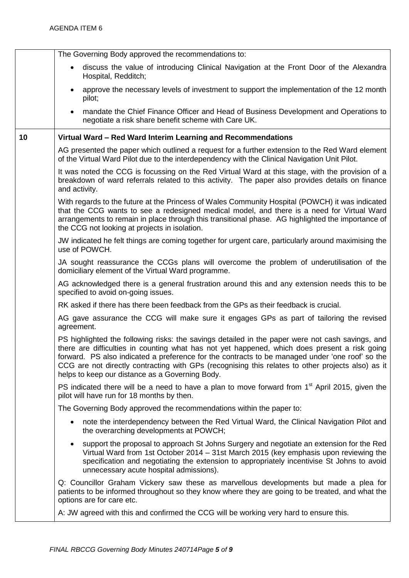|    | The Governing Body approved the recommendations to:                                                                                                                                                                                                                                                                                                                                                                                                          |
|----|--------------------------------------------------------------------------------------------------------------------------------------------------------------------------------------------------------------------------------------------------------------------------------------------------------------------------------------------------------------------------------------------------------------------------------------------------------------|
|    | discuss the value of introducing Clinical Navigation at the Front Door of the Alexandra<br>$\bullet$<br>Hospital, Redditch;                                                                                                                                                                                                                                                                                                                                  |
|    | approve the necessary levels of investment to support the implementation of the 12 month<br>$\bullet$<br>pilot;                                                                                                                                                                                                                                                                                                                                              |
|    | mandate the Chief Finance Officer and Head of Business Development and Operations to<br>$\bullet$<br>negotiate a risk share benefit scheme with Care UK.                                                                                                                                                                                                                                                                                                     |
| 10 | Virtual Ward - Red Ward Interim Learning and Recommendations                                                                                                                                                                                                                                                                                                                                                                                                 |
|    | AG presented the paper which outlined a request for a further extension to the Red Ward element<br>of the Virtual Ward Pilot due to the interdependency with the Clinical Navigation Unit Pilot.                                                                                                                                                                                                                                                             |
|    | It was noted the CCG is focussing on the Red Virtual Ward at this stage, with the provision of a<br>breakdown of ward referrals related to this activity. The paper also provides details on finance<br>and activity.                                                                                                                                                                                                                                        |
|    | With regards to the future at the Princess of Wales Community Hospital (POWCH) it was indicated<br>that the CCG wants to see a redesigned medical model, and there is a need for Virtual Ward<br>arrangements to remain in place through this transitional phase. AG highlighted the importance of<br>the CCG not looking at projects in isolation.                                                                                                          |
|    | JW indicated he felt things are coming together for urgent care, particularly around maximising the<br>use of POWCH.                                                                                                                                                                                                                                                                                                                                         |
|    | JA sought reassurance the CCGs plans will overcome the problem of underutilisation of the<br>domiciliary element of the Virtual Ward programme.                                                                                                                                                                                                                                                                                                              |
|    | AG acknowledged there is a general frustration around this and any extension needs this to be<br>specified to avoid on-going issues.                                                                                                                                                                                                                                                                                                                         |
|    | RK asked if there has there been feedback from the GPs as their feedback is crucial.                                                                                                                                                                                                                                                                                                                                                                         |
|    | AG gave assurance the CCG will make sure it engages GPs as part of tailoring the revised<br>agreement.                                                                                                                                                                                                                                                                                                                                                       |
|    | PS highlighted the following risks: the savings detailed in the paper were not cash savings, and<br>there are difficulties in counting what has not yet happened, which does present a risk going<br>forward. PS also indicated a preference for the contracts to be managed under 'one roof' so the<br>CCG are not directly contracting with GPs (recognising this relates to other projects also) as it<br>helps to keep our distance as a Governing Body. |
|    | PS indicated there will be a need to have a plan to move forward from $1st$ April 2015, given the<br>pilot will have run for 18 months by then.                                                                                                                                                                                                                                                                                                              |
|    | The Governing Body approved the recommendations within the paper to:                                                                                                                                                                                                                                                                                                                                                                                         |
|    | note the interdependency between the Red Virtual Ward, the Clinical Navigation Pilot and<br>$\bullet$<br>the overarching developments at POWCH;                                                                                                                                                                                                                                                                                                              |
|    | support the proposal to approach St Johns Surgery and negotiate an extension for the Red<br>$\bullet$<br>Virtual Ward from 1st October 2014 - 31st March 2015 (key emphasis upon reviewing the<br>specification and negotiating the extension to appropriately incentivise St Johns to avoid<br>unnecessary acute hospital admissions).                                                                                                                      |
|    | Q: Councillor Graham Vickery saw these as marvellous developments but made a plea for<br>patients to be informed throughout so they know where they are going to be treated, and what the<br>options are for care etc.                                                                                                                                                                                                                                       |
|    | A: JW agreed with this and confirmed the CCG will be working very hard to ensure this.                                                                                                                                                                                                                                                                                                                                                                       |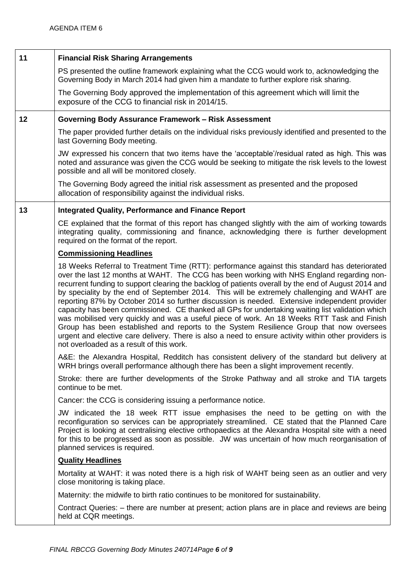| 11 | <b>Financial Risk Sharing Arrangements</b>                                                                                                                                                                                                                                                                                                                                                                                                                                                                                                                                                                                                                                                                                                                                                                                                                                                                                                         |
|----|----------------------------------------------------------------------------------------------------------------------------------------------------------------------------------------------------------------------------------------------------------------------------------------------------------------------------------------------------------------------------------------------------------------------------------------------------------------------------------------------------------------------------------------------------------------------------------------------------------------------------------------------------------------------------------------------------------------------------------------------------------------------------------------------------------------------------------------------------------------------------------------------------------------------------------------------------|
|    | PS presented the outline framework explaining what the CCG would work to, acknowledging the<br>Governing Body in March 2014 had given him a mandate to further explore risk sharing.                                                                                                                                                                                                                                                                                                                                                                                                                                                                                                                                                                                                                                                                                                                                                               |
|    | The Governing Body approved the implementation of this agreement which will limit the<br>exposure of the CCG to financial risk in 2014/15.                                                                                                                                                                                                                                                                                                                                                                                                                                                                                                                                                                                                                                                                                                                                                                                                         |
| 12 | Governing Body Assurance Framework - Risk Assessment                                                                                                                                                                                                                                                                                                                                                                                                                                                                                                                                                                                                                                                                                                                                                                                                                                                                                               |
|    | The paper provided further details on the individual risks previously identified and presented to the<br>last Governing Body meeting.                                                                                                                                                                                                                                                                                                                                                                                                                                                                                                                                                                                                                                                                                                                                                                                                              |
|    | JW expressed his concern that two items have the 'acceptable'/residual rated as high. This was<br>noted and assurance was given the CCG would be seeking to mitigate the risk levels to the lowest<br>possible and all will be monitored closely.                                                                                                                                                                                                                                                                                                                                                                                                                                                                                                                                                                                                                                                                                                  |
|    | The Governing Body agreed the initial risk assessment as presented and the proposed<br>allocation of responsibility against the individual risks.                                                                                                                                                                                                                                                                                                                                                                                                                                                                                                                                                                                                                                                                                                                                                                                                  |
| 13 | <b>Integrated Quality, Performance and Finance Report</b>                                                                                                                                                                                                                                                                                                                                                                                                                                                                                                                                                                                                                                                                                                                                                                                                                                                                                          |
|    | CE explained that the format of this report has changed slightly with the aim of working towards<br>integrating quality, commissioning and finance, acknowledging there is further development<br>required on the format of the report.                                                                                                                                                                                                                                                                                                                                                                                                                                                                                                                                                                                                                                                                                                            |
|    | <b>Commissioning Headlines</b>                                                                                                                                                                                                                                                                                                                                                                                                                                                                                                                                                                                                                                                                                                                                                                                                                                                                                                                     |
|    | 18 Weeks Referral to Treatment Time (RTT): performance against this standard has deteriorated<br>over the last 12 months at WAHT. The CCG has been working with NHS England regarding non-<br>recurrent funding to support clearing the backlog of patients overall by the end of August 2014 and<br>by speciality by the end of September 2014. This will be extremely challenging and WAHT are<br>reporting 87% by October 2014 so further discussion is needed. Extensive independent provider<br>capacity has been commissioned. CE thanked all GPs for undertaking waiting list validation which<br>was mobilised very quickly and was a useful piece of work. An 18 Weeks RTT Task and Finish<br>Group has been established and reports to the System Resilience Group that now oversees<br>urgent and elective care delivery. There is also a need to ensure activity within other providers is<br>not overloaded as a result of this work. |
|    | A&E: the Alexandra Hospital, Redditch has consistent delivery of the standard but delivery at<br>WRH brings overall performance although there has been a slight improvement recently.                                                                                                                                                                                                                                                                                                                                                                                                                                                                                                                                                                                                                                                                                                                                                             |
|    | Stroke: there are further developments of the Stroke Pathway and all stroke and TIA targets<br>continue to be met.                                                                                                                                                                                                                                                                                                                                                                                                                                                                                                                                                                                                                                                                                                                                                                                                                                 |
|    | Cancer: the CCG is considering issuing a performance notice.                                                                                                                                                                                                                                                                                                                                                                                                                                                                                                                                                                                                                                                                                                                                                                                                                                                                                       |
|    | JW indicated the 18 week RTT issue emphasises the need to be getting on with the<br>reconfiguration so services can be appropriately streamlined. CE stated that the Planned Care<br>Project is looking at centralising elective orthopaedics at the Alexandra Hospital site with a need<br>for this to be progressed as soon as possible. JW was uncertain of how much reorganisation of<br>planned services is required.                                                                                                                                                                                                                                                                                                                                                                                                                                                                                                                         |
|    | <b>Quality Headlines</b>                                                                                                                                                                                                                                                                                                                                                                                                                                                                                                                                                                                                                                                                                                                                                                                                                                                                                                                           |
|    | Mortality at WAHT: it was noted there is a high risk of WAHT being seen as an outlier and very<br>close monitoring is taking place.                                                                                                                                                                                                                                                                                                                                                                                                                                                                                                                                                                                                                                                                                                                                                                                                                |
|    | Maternity: the midwife to birth ratio continues to be monitored for sustainability.                                                                                                                                                                                                                                                                                                                                                                                                                                                                                                                                                                                                                                                                                                                                                                                                                                                                |
|    | Contract Queries: – there are number at present; action plans are in place and reviews are being<br>held at CQR meetings.                                                                                                                                                                                                                                                                                                                                                                                                                                                                                                                                                                                                                                                                                                                                                                                                                          |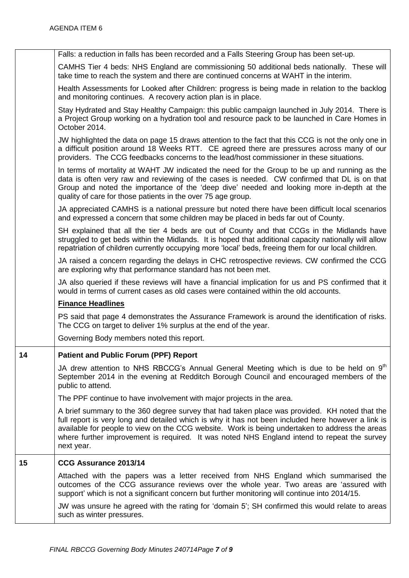|    | Falls: a reduction in falls has been recorded and a Falls Steering Group has been set-up.                                                                                                                                                                                                                                                                                                                          |
|----|--------------------------------------------------------------------------------------------------------------------------------------------------------------------------------------------------------------------------------------------------------------------------------------------------------------------------------------------------------------------------------------------------------------------|
|    | CAMHS Tier 4 beds: NHS England are commissioning 50 additional beds nationally. These will<br>take time to reach the system and there are continued concerns at WAHT in the interim.                                                                                                                                                                                                                               |
|    | Health Assessments for Looked after Children: progress is being made in relation to the backlog<br>and monitoring continues. A recovery action plan is in place.                                                                                                                                                                                                                                                   |
|    | Stay Hydrated and Stay Healthy Campaign: this public campaign launched in July 2014. There is<br>a Project Group working on a hydration tool and resource pack to be launched in Care Homes in<br>October 2014.                                                                                                                                                                                                    |
|    | JW highlighted the data on page 15 draws attention to the fact that this CCG is not the only one in<br>a difficult position around 18 Weeks RTT. CE agreed there are pressures across many of our<br>providers. The CCG feedbacks concerns to the lead/host commissioner in these situations.                                                                                                                      |
|    | In terms of mortality at WAHT JW indicated the need for the Group to be up and running as the<br>data is often very raw and reviewing of the cases is needed. CW confirmed that DL is on that<br>Group and noted the importance of the 'deep dive' needed and looking more in-depth at the<br>quality of care for those patients in the over 75 age group.                                                         |
|    | JA appreciated CAMHS is a national pressure but noted there have been difficult local scenarios<br>and expressed a concern that some children may be placed in beds far out of County.                                                                                                                                                                                                                             |
|    | SH explained that all the tier 4 beds are out of County and that CCGs in the Midlands have<br>struggled to get beds within the Midlands. It is hoped that additional capacity nationally will allow<br>repatriation of children currently occupying more 'local' beds, freeing them for our local children.                                                                                                        |
|    | JA raised a concern regarding the delays in CHC retrospective reviews. CW confirmed the CCG<br>are exploring why that performance standard has not been met.                                                                                                                                                                                                                                                       |
|    | JA also queried if these reviews will have a financial implication for us and PS confirmed that it<br>would in terms of current cases as old cases were contained within the old accounts.                                                                                                                                                                                                                         |
|    | <b>Finance Headlines</b>                                                                                                                                                                                                                                                                                                                                                                                           |
|    | PS said that page 4 demonstrates the Assurance Framework is around the identification of risks.<br>The CCG on target to deliver 1% surplus at the end of the year.                                                                                                                                                                                                                                                 |
|    | Governing Body members noted this report.                                                                                                                                                                                                                                                                                                                                                                          |
| 14 | <b>Patient and Public Forum (PPF) Report</b>                                                                                                                                                                                                                                                                                                                                                                       |
|    | JA drew attention to NHS RBCCG's Annual General Meeting which is due to be held on 9 <sup>th</sup><br>September 2014 in the evening at Redditch Borough Council and encouraged members of the<br>public to attend.                                                                                                                                                                                                 |
|    | The PPF continue to have involvement with major projects in the area.                                                                                                                                                                                                                                                                                                                                              |
|    | A brief summary to the 360 degree survey that had taken place was provided. KH noted that the<br>full report is very long and detailed which is why it has not been included here however a link is<br>available for people to view on the CCG website. Work is being undertaken to address the areas<br>where further improvement is required. It was noted NHS England intend to repeat the survey<br>next year. |
| 15 | CCG Assurance 2013/14                                                                                                                                                                                                                                                                                                                                                                                              |
|    | Attached with the papers was a letter received from NHS England which summarised the<br>outcomes of the CCG assurance reviews over the whole year. Two areas are 'assured with<br>support' which is not a significant concern but further monitoring will continue into 2014/15.                                                                                                                                   |
|    | JW was unsure he agreed with the rating for 'domain 5'; SH confirmed this would relate to areas<br>such as winter pressures.                                                                                                                                                                                                                                                                                       |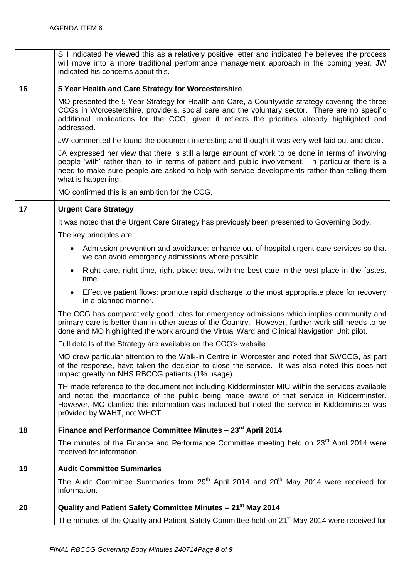|    | SH indicated he viewed this as a relatively positive letter and indicated he believes the process<br>will move into a more traditional performance management approach in the coming year. JW<br>indicated his concerns about this.                                                                                             |
|----|---------------------------------------------------------------------------------------------------------------------------------------------------------------------------------------------------------------------------------------------------------------------------------------------------------------------------------|
| 16 | 5 Year Health and Care Strategy for Worcestershire                                                                                                                                                                                                                                                                              |
|    | MO presented the 5 Year Strategy for Health and Care, a Countywide strategy covering the three<br>CCGs in Worcestershire, providers, social care and the voluntary sector. There are no specific<br>additional implications for the CCG, given it reflects the priorities already highlighted and<br>addressed.                 |
|    | JW commented he found the document interesting and thought it was very well laid out and clear.                                                                                                                                                                                                                                 |
|    | JA expressed her view that there is still a large amount of work to be done in terms of involving<br>people 'with' rather than 'to' in terms of patient and public involvement. In particular there is a<br>need to make sure people are asked to help with service developments rather than telling them<br>what is happening. |
|    | MO confirmed this is an ambition for the CCG.                                                                                                                                                                                                                                                                                   |
| 17 | <b>Urgent Care Strategy</b>                                                                                                                                                                                                                                                                                                     |
|    | It was noted that the Urgent Care Strategy has previously been presented to Governing Body.                                                                                                                                                                                                                                     |
|    | The key principles are:                                                                                                                                                                                                                                                                                                         |
|    | Admission prevention and avoidance: enhance out of hospital urgent care services so that<br>$\bullet$<br>we can avoid emergency admissions where possible.                                                                                                                                                                      |
|    | Right care, right time, right place: treat with the best care in the best place in the fastest<br>$\bullet$<br>time.                                                                                                                                                                                                            |
|    | Effective patient flows: promote rapid discharge to the most appropriate place for recovery<br>$\bullet$<br>in a planned manner.                                                                                                                                                                                                |
|    | The CCG has comparatively good rates for emergency admissions which implies community and<br>primary care is better than in other areas of the Country. However, further work still needs to be<br>done and MO highlighted the work around the Virtual Ward and Clinical Navigation Unit pilot.                                 |
|    | Full details of the Strategy are available on the CCG's website.                                                                                                                                                                                                                                                                |
|    | MO drew particular attention to the Walk-in Centre in Worcester and noted that SWCCG, as part<br>of the response, have taken the decision to close the service. It was also noted this does not<br>impact greatly on NHS RBCCG patients (1% usage).                                                                             |
|    | TH made reference to the document not including Kidderminster MIU within the services available<br>and noted the importance of the public being made aware of that service in Kidderminster.<br>However, MO clarified this information was included but noted the service in Kidderminster was<br>pr0vided by WAHT, not WHCT    |
| 18 | Finance and Performance Committee Minutes - 23 <sup>rd</sup> April 2014                                                                                                                                                                                                                                                         |
|    | The minutes of the Finance and Performance Committee meeting held on 23 <sup>rd</sup> April 2014 were<br>received for information.                                                                                                                                                                                              |
| 19 | <b>Audit Committee Summaries</b>                                                                                                                                                                                                                                                                                                |
|    | The Audit Committee Summaries from 29 <sup>th</sup> April 2014 and 20 <sup>th</sup> May 2014 were received for<br>information.                                                                                                                                                                                                  |
| 20 | Quality and Patient Safety Committee Minutes - 21 <sup>st</sup> May 2014                                                                                                                                                                                                                                                        |
|    | The minutes of the Quality and Patient Safety Committee held on 21 <sup>st</sup> May 2014 were received for                                                                                                                                                                                                                     |